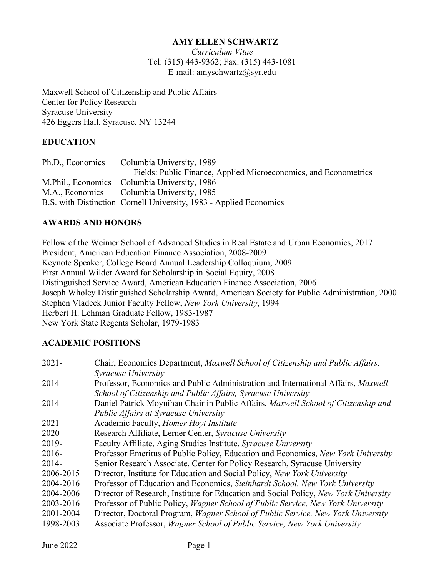#### **AMY ELLEN SCHWARTZ**

*Curriculum Vitae* Tel: (315) 443-9362; Fax: (315) 443-1081 E-mail: amyschwartz@syr.edu

Maxwell School of Citizenship and Public Affairs Center for Policy Research Syracuse University 426 Eggers Hall, Syracuse, NY 13244

#### **EDUCATION**

| Ph.D., Economics Columbia University, 1989                         |
|--------------------------------------------------------------------|
| Fields: Public Finance, Applied Microeconomics, and Econometrics   |
| M.Phil., Economics Columbia University, 1986                       |
| M.A., Economics Columbia University, 1985                          |
| B.S. with Distinction Cornell University, 1983 - Applied Economics |

#### **AWARDS AND HONORS**

Fellow of the Weimer School of Advanced Studies in Real Estate and Urban Economics, 2017 President, American Education Finance Association, 2008-2009 Keynote Speaker, College Board Annual Leadership Colloquium, 2009 First Annual Wilder Award for Scholarship in Social Equity, 2008 Distinguished Service Award, American Education Finance Association, 2006 Joseph Wholey Distinguished Scholarship Award, American Society for Public Administration, 2000 Stephen Vladeck Junior Faculty Fellow, *New York University*, 1994 Herbert H. Lehman Graduate Fellow, 1983-1987 New York State Regents Scholar, 1979-1983

#### **ACADEMIC POSITIONS**

| $2021 -$  | Chair, Economics Department, Maxwell School of Citizenship and Public Affairs,                  |
|-----------|-------------------------------------------------------------------------------------------------|
|           | Syracuse University                                                                             |
| 2014-     | Professor, Economics and Public Administration and International Affairs, Maxwell               |
|           | School of Citizenship and Public Affairs, Syracuse University                                   |
| 2014-     | Daniel Patrick Moynihan Chair in Public Affairs, Maxwell School of Citizenship and              |
|           | <b>Public Affairs at Syracuse University</b>                                                    |
| $2021 -$  | Academic Faculty, Homer Hoyt Institute                                                          |
| $2020 -$  | Research Affiliate, Lerner Center, Syracuse University                                          |
| 2019-     | Faculty Affiliate, Aging Studies Institute, Syracuse University                                 |
| $2016-$   | Professor Emeritus of Public Policy, Education and Economics, New York University               |
| 2014-     | Senior Research Associate, Center for Policy Research, Syracuse University                      |
| 2006-2015 | Director, Institute for Education and Social Policy, New York University                        |
| 2004-2016 | Professor of Education and Economics, Steinhardt School, New York University                    |
| 2004-2006 | Director of Research, Institute for Education and Social Policy, New York University            |
| 2003-2016 | Professor of Public Policy, <i>Wagner School of Public Service</i> , <i>New York University</i> |
| 2001-2004 | Director, Doctoral Program, Wagner School of Public Service, New York University                |
| 1998-2003 | Associate Professor, <i>Wagner School of Public Service</i> , <i>New York University</i>        |
|           |                                                                                                 |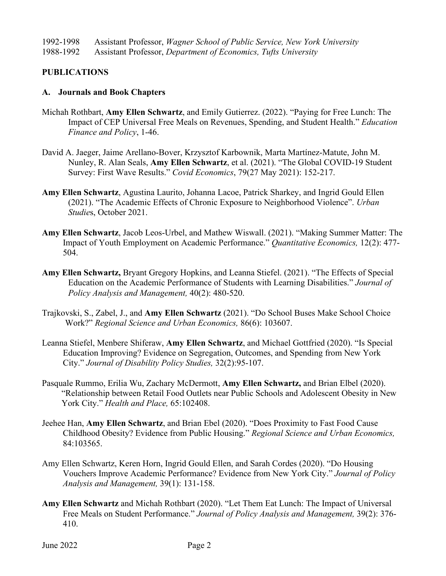1992-1998 Assistant Professor, *Wagner School of Public Service, New York University* 1988-1992 Assistant Professor, *Department of Economics, Tufts University* 

## **PUBLICATIONS**

#### **A. Journals and Book Chapters**

- Michah Rothbart, **Amy Ellen Schwartz**, and Emily Gutierrez. (2022). "Paying for Free Lunch: The Impact of CEP Universal Free Meals on Revenues, Spending, and Student Health." *Education Finance and Policy*, 1-46.
- David A. Jaeger, Jaime Arellano-Bover, Krzysztof Karbownik, Marta Martínez-Matute, John M. Nunley, R. Alan Seals, **Amy Ellen Schwartz**, et al. (2021). "The Global COVID-19 Student Survey: First Wave Results." *Covid Economics*, 79(27 May 2021): 152-217.
- **Amy Ellen Schwartz**, Agustina Laurito, Johanna Lacoe, Patrick Sharkey, and Ingrid Gould Ellen (2021). "The Academic Effects of Chronic Exposure to Neighborhood Violence". *Urban Studie*s, October 2021.
- **Amy Ellen Schwartz**, Jacob Leos-Urbel, and Mathew Wiswall. (2021). "Making Summer Matter: The Impact of Youth Employment on Academic Performance." *Quantitative Economics,* 12(2): 477- 504.
- **Amy Ellen Schwartz,** Bryant Gregory Hopkins, and Leanna Stiefel. (2021). "The Effects of Special Education on the Academic Performance of Students with Learning Disabilities." *Journal of Policy Analysis and Management,* 40(2): 480-520.
- Trajkovski, S., Zabel, J., and **Amy Ellen Schwartz** (2021). "Do School Buses Make School Choice Work?" *Regional Science and Urban Economics,* 86(6): 103607.
- Leanna Stiefel, Menbere Shiferaw, **Amy Ellen Schwartz**, and Michael Gottfried (2020). "Is Special Education Improving? Evidence on Segregation, Outcomes, and Spending from New York City." *Journal of Disability Policy Studies,* 32(2):95-107.
- Pasquale Rummo, Erilia Wu, Zachary McDermott, **Amy Ellen Schwartz,** and Brian Elbel (2020). "Relationship between Retail Food Outlets near Public Schools and Adolescent Obesity in New York City." *Health and Place,* 65:102408.
- Jeehee Han, **Amy Ellen Schwartz**, and Brian Ebel (2020). "Does Proximity to Fast Food Cause Childhood Obesity? Evidence from Public Housing." *Regional Science and Urban Economics,*  84:103565.
- Amy Ellen Schwartz, Keren Horn, Ingrid Gould Ellen, and Sarah Cordes (2020). "Do Housing Vouchers Improve Academic Performance? Evidence from New York City." *Journal of Policy Analysis and Management,* 39(1): 131-158.
- **Amy Ellen Schwartz** and Michah Rothbart (2020). "Let Them Eat Lunch: The Impact of Universal Free Meals on Student Performance." *Journal of Policy Analysis and Management,* 39(2): 376- 410.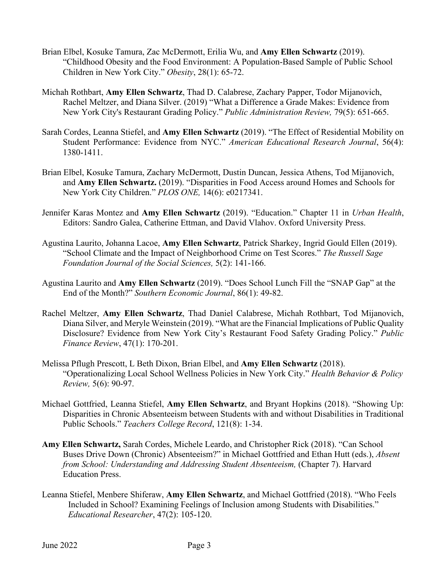- Brian Elbel, Kosuke Tamura, Zac McDermott, Erilia Wu, and **Amy Ellen Schwartz** (2019). "Childhood Obesity and the Food Environment: A Population-Based Sample of Public School Children in New York City." *Obesity*, 28(1): 65-72.
- Michah Rothbart, **Amy Ellen Schwartz**, Thad D. Calabrese, Zachary Papper, Todor Mijanovich, Rachel Meltzer, and Diana Silver. (2019) "What a Difference a Grade Makes: Evidence from New York City's Restaurant Grading Policy." *Public Administration Review,* 79(5): 651-665.
- Sarah Cordes, Leanna Stiefel, and **Amy Ellen Schwartz** (2019). "The Effect of Residential Mobility on Student Performance: Evidence from NYC." *American Educational Research Journal*, 56(4): 1380-1411.
- Brian Elbel, Kosuke Tamura, Zachary McDermott, Dustin Duncan, Jessica Athens, Tod Mijanovich, and **Amy Ellen Schwartz.** (2019). "Disparities in Food Access around Homes and Schools for New York City Children." *PLOS ONE,* 14(6): e0217341.
- Jennifer Karas Montez and **Amy Ellen Schwartz** (2019). "Education." Chapter 11 in *Urban Health*, Editors: Sandro Galea, Catherine Ettman, and David Vlahov. Oxford University Press.
- Agustina Laurito, Johanna Lacoe, **Amy Ellen Schwartz**, Patrick Sharkey, Ingrid Gould Ellen (2019). "School Climate and the Impact of Neighborhood Crime on Test Scores." *The Russell Sage Foundation Journal of the Social Sciences,* 5(2): 141-166.
- Agustina Laurito and **Amy Ellen Schwartz** (2019). "Does School Lunch Fill the "SNAP Gap" at the End of the Month?" *Southern Economic Journal*, 86(1): 49-82.
- Rachel Meltzer, **Amy Ellen Schwartz**, Thad Daniel Calabrese, Michah Rothbart, Tod Mijanovich, Diana Silver, and Meryle Weinstein (2019). "What are the Financial Implications of Public Quality Disclosure? Evidence from New York City's Restaurant Food Safety Grading Policy." *Public Finance Review*, 47(1): 170-201.
- Melissa Pflugh Prescott, L Beth Dixon, Brian Elbel, and **Amy Ellen Schwartz** (2018). "Operationalizing Local School Wellness Policies in New York City." *Health Behavior & Policy Review,* 5(6): 90-97.
- Michael Gottfried, Leanna Stiefel, **Amy Ellen Schwartz**, and Bryant Hopkins (2018). "Showing Up: Disparities in Chronic Absenteeism between Students with and without Disabilities in Traditional Public Schools." *Teachers College Record*, 121(8): 1-34.
- **Amy Ellen Schwartz,** Sarah Cordes, Michele Leardo, and Christopher Rick (2018). "Can School Buses Drive Down (Chronic) Absenteeism?" in Michael Gottfried and Ethan Hutt (eds.), *Absent from School: Understanding and Addressing Student Absenteeism, (Chapter 7). Harvard* Education Press.
- Leanna Stiefel, Menbere Shiferaw, **Amy Ellen Schwartz**, and Michael Gottfried (2018). "Who Feels Included in School? Examining Feelings of Inclusion among Students with Disabilities." *Educational Researcher*, 47(2): 105-120.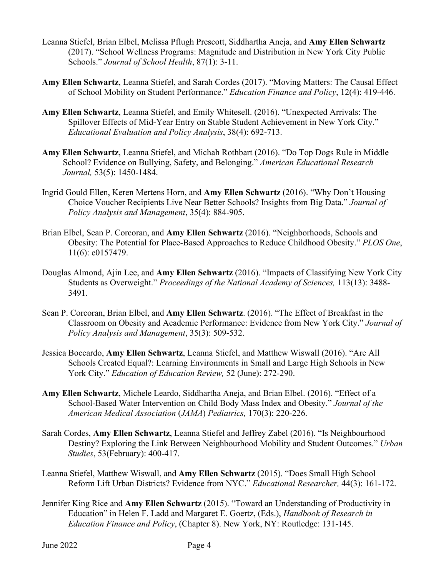- Leanna Stiefel, Brian Elbel, Melissa Pflugh Prescott, Siddhartha Aneja, and **Amy Ellen Schwartz** (2017). "School Wellness Programs: Magnitude and Distribution in New York City Public Schools." *Journal of School Health*, 87(1): 3-11.
- **Amy Ellen Schwartz**, Leanna Stiefel, and Sarah Cordes (2017). "Moving Matters: The Causal Effect of School Mobility on Student Performance." *Education Finance and Policy*, 12(4): 419-446.
- **Amy Ellen Schwartz**, Leanna Stiefel, and Emily Whitesell. (2016). "Unexpected Arrivals: The Spillover Effects of Mid-Year Entry on Stable Student Achievement in New York City." *Educational Evaluation and Policy Analysis*, 38(4): 692-713.
- **Amy Ellen Schwartz**, Leanna Stiefel, and Michah Rothbart (2016). "Do Top Dogs Rule in Middle School? Evidence on Bullying, Safety, and Belonging." *American Educational Research Journal,* 53(5): 1450-1484*.*
- Ingrid Gould Ellen, Keren Mertens Horn, and **Amy Ellen Schwartz** (2016). "Why Don't Housing Choice Voucher Recipients Live Near Better Schools? Insights from Big Data." *Journal of Policy Analysis and Management*, 35(4): 884-905.
- Brian Elbel, Sean P. Corcoran, and **Amy Ellen Schwartz** (2016). "Neighborhoods, Schools and Obesity: The Potential for Place-Based Approaches to Reduce Childhood Obesity." *PLOS One*, 11(6): e0157479.
- Douglas Almond, Ajin Lee, and **Amy Ellen Schwartz** (2016). "Impacts of Classifying New York City Students as Overweight." *Proceedings of the National Academy of Sciences,* 113(13): 3488- 3491.
- Sean P. Corcoran, Brian Elbel, and **Amy Ellen Schwartz**. (2016). "The Effect of Breakfast in the Classroom on Obesity and Academic Performance: Evidence from New York City." *Journal of Policy Analysis and Management*, 35(3): 509-532.
- Jessica Boccardo, **Amy Ellen Schwartz**, Leanna Stiefel, and Matthew Wiswall (2016). "Are All Schools Created Equal?: Learning Environments in Small and Large High Schools in New York City." *Education of Education Review,* 52 (June): 272-290.
- **Amy Ellen Schwartz**, Michele Leardo, Siddhartha Aneja, and Brian Elbel. (2016). "Effect of a School-Based Water Intervention on Child Body Mass Index and Obesity." *Journal of the American Medical Association* (*JAMA*) *Pediatrics,* 170(3): 220-226.
- Sarah Cordes, **Amy Ellen Schwartz**, Leanna Stiefel and Jeffrey Zabel (2016). "Is Neighbourhood Destiny? Exploring the Link Between Neighbourhood Mobility and Student Outcomes." *Urban Studies*, 53(February): 400-417.
- Leanna Stiefel, Matthew Wiswall, and **Amy Ellen Schwartz** (2015). "Does Small High School Reform Lift Urban Districts? Evidence from NYC." *Educational Researcher,* 44(3): 161-172.
- Jennifer King Rice and **Amy Ellen Schwartz** (2015). "Toward an Understanding of Productivity in Education" in Helen F. Ladd and Margaret E. Goertz, (Eds.), *Handbook of Research in Education Finance and Policy*, (Chapter 8). New York, NY: Routledge: 131-145.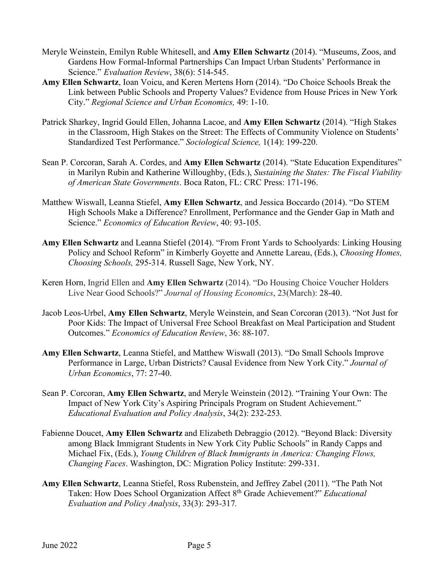- Meryle Weinstein, Emilyn Ruble Whitesell, and **Amy Ellen Schwartz** (2014). "Museums, Zoos, and Gardens How Formal-Informal Partnerships Can Impact Urban Students' Performance in Science." *Evaluation Review*, 38(6): 514-545.
- **Amy Ellen Schwartz**, Ioan Voicu, and Keren Mertens Horn (2014). "Do Choice Schools Break the Link between Public Schools and Property Values? Evidence from House Prices in New York City." *Regional Science and Urban Economics,* 49: 1-10.
- Patrick Sharkey, Ingrid Gould Ellen, Johanna Lacoe, and **Amy Ellen Schwartz** (2014). "High Stakes in the Classroom, High Stakes on the Street: The Effects of Community Violence on Students' Standardized Test Performance." *Sociological Science,* 1(14): 199-220.
- Sean P. Corcoran, Sarah A. Cordes, and **Amy Ellen Schwartz** (2014). "State Education Expenditures" in Marilyn Rubin and Katherine Willoughby, (Eds.), *Sustaining the States: The Fiscal Viability of American State Governments*. Boca Raton, FL: CRC Press: 171-196.
- Matthew Wiswall, Leanna Stiefel, **Amy Ellen Schwartz**, and Jessica Boccardo (2014). "Do STEM High Schools Make a Difference? Enrollment, Performance and the Gender Gap in Math and Science." *Economics of Education Review*, 40: 93-105.
- **Amy Ellen Schwartz** and Leanna Stiefel (2014). "From Front Yards to Schoolyards: Linking Housing Policy and School Reform" in Kimberly Goyette and Annette Lareau, (Eds.), *Choosing Homes, Choosing Schools,* 295-314. Russell Sage, New York, NY.
- Keren Horn, Ingrid Ellen and **Amy Ellen Schwartz** (2014). "Do Housing Choice Voucher Holders Live Near Good Schools?" *Journal of Housing Economics*, 23(March): 28-40.
- Jacob Leos-Urbel, **Amy Ellen Schwartz**, Meryle Weinstein, and Sean Corcoran (2013). "Not Just for Poor Kids: The Impact of Universal Free School Breakfast on Meal Participation and Student Outcomes." *Economics of Education Review*, 36: 88-107.
- **Amy Ellen Schwartz**, Leanna Stiefel, and Matthew Wiswall (2013). "Do Small Schools Improve Performance in Large, Urban Districts? Causal Evidence from New York City." *Journal of Urban Economics*, 77: 27-40.
- Sean P. Corcoran, **Amy Ellen Schwartz**, and Meryle Weinstein (2012). "Training Your Own: The Impact of New York City's Aspiring Principals Program on Student Achievement." *Educational Evaluation and Policy Analysis*, 34(2): 232-253*.*
- Fabienne Doucet, **Amy Ellen Schwartz** and Elizabeth Debraggio (2012). "Beyond Black: Diversity among Black Immigrant Students in New York City Public Schools" in Randy Capps and Michael Fix, (Eds.), *Young Children of Black Immigrants in America: Changing Flows, Changing Faces*. Washington, DC: Migration Policy Institute: 299-331.
- **Amy Ellen Schwartz**, Leanna Stiefel, Ross Rubenstein, and Jeffrey Zabel (2011). "The Path Not Taken: How Does School Organization Affect 8th Grade Achievement?" *Educational Evaluation and Policy Analysis*, 33(3): 293-317*.*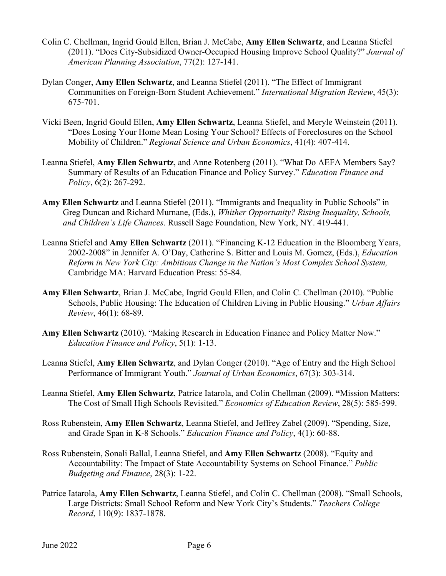- Colin C. Chellman, Ingrid Gould Ellen, Brian J. McCabe, **Amy Ellen Schwartz**, and Leanna Stiefel (2011). "Does City-Subsidized Owner-Occupied Housing Improve School Quality?" *Journal of American Planning Association*, 77(2): 127-141.
- Dylan Conger, **Amy Ellen Schwartz**, and Leanna Stiefel (2011). "The Effect of Immigrant Communities on Foreign-Born Student Achievement." *International Migration Review*, 45(3): 675-701.
- Vicki Been, Ingrid Gould Ellen, **Amy Ellen Schwartz**, Leanna Stiefel, and Meryle Weinstein (2011). "Does Losing Your Home Mean Losing Your School? Effects of Foreclosures on the School Mobility of Children." *Regional Science and Urban Economics*, 41(4): 407-414.
- Leanna Stiefel, **Amy Ellen Schwartz**, and Anne Rotenberg (2011). "What Do AEFA Members Say? Summary of Results of an Education Finance and Policy Survey." *Education Finance and Policy*, 6(2): 267-292.
- **Amy Ellen Schwartz** and Leanna Stiefel (2011). "Immigrants and Inequality in Public Schools" in Greg Duncan and Richard Murnane, (Eds.), *Whither Opportunity? Rising Inequality, Schools, and Children's Life Chances*. Russell Sage Foundation, New York, NY. 419-441.
- Leanna Stiefel and **Amy Ellen Schwartz** (2011). "Financing K-12 Education in the Bloomberg Years, 2002-2008" in Jennifer A. O'Day, Catherine S. Bitter and Louis M. Gomez, (Eds.), *Education Reform in New York City: Ambitious Change in the Nation's Most Complex School System,* Cambridge MA: Harvard Education Press: 55-84.
- **Amy Ellen Schwartz**, Brian J. McCabe, Ingrid Gould Ellen, and Colin C. Chellman (2010). "Public Schools, Public Housing: The Education of Children Living in Public Housing." *Urban Affairs Review*, 46(1): 68-89.
- **Amy Ellen Schwartz** (2010). "Making Research in Education Finance and Policy Matter Now." *Education Finance and Policy*, 5(1): 1-13.
- Leanna Stiefel, **Amy Ellen Schwartz**, and Dylan Conger (2010). "Age of Entry and the High School Performance of Immigrant Youth." *Journal of Urban Economics*, 67(3): 303-314.
- Leanna Stiefel, **Amy Ellen Schwartz**, Patrice Iatarola, and Colin Chellman (2009). **"**Mission Matters: The Cost of Small High Schools Revisited." *Economics of Education Review*, 28(5): 585-599.
- Ross Rubenstein, **Amy Ellen Schwartz**, Leanna Stiefel, and Jeffrey Zabel (2009). "Spending, Size, and Grade Span in K-8 Schools." *Education Finance and Policy*, 4(1): 60-88.
- Ross Rubenstein, Sonali Ballal, Leanna Stiefel, and **Amy Ellen Schwartz** (2008). "Equity and Accountability: The Impact of State Accountability Systems on School Finance." *Public Budgeting and Finance*, 28(3): 1-22.
- Patrice Iatarola, **Amy Ellen Schwartz**, Leanna Stiefel, and Colin C. Chellman (2008). "Small Schools, Large Districts: Small School Reform and New York City's Students." *Teachers College Record*, 110(9): 1837-1878.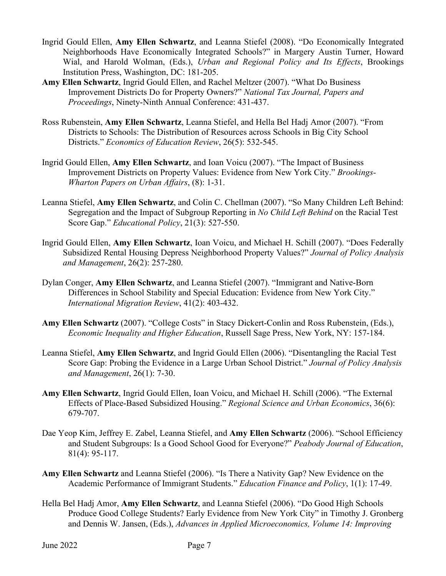- Ingrid Gould Ellen, **Amy Ellen Schwartz**, and Leanna Stiefel (2008). "Do Economically Integrated Neighborhoods Have Economically Integrated Schools?" in Margery Austin Turner, Howard Wial, and Harold Wolman, (Eds.), *Urban and Regional Policy and Its Effects*, Brookings Institution Press, Washington, DC: 181-205.
- **Amy Ellen Schwartz**, Ingrid Gould Ellen, and Rachel Meltzer (2007). "What Do Business Improvement Districts Do for Property Owners?" *National Tax Journal, Papers and Proceedings*, Ninety-Ninth Annual Conference: 431-437.
- Ross Rubenstein, **Amy Ellen Schwartz**, Leanna Stiefel, and Hella Bel Hadj Amor (2007). "From Districts to Schools: The Distribution of Resources across Schools in Big City School Districts." *Economics of Education Review*, 26(5): 532-545.
- Ingrid Gould Ellen, **Amy Ellen Schwartz**, and Ioan Voicu (2007). "The Impact of Business Improvement Districts on Property Values: Evidence from New York City." *Brookings-Wharton Papers on Urban Affairs*, (8): 1-31.
- Leanna Stiefel, **Amy Ellen Schwartz**, and Colin C. Chellman (2007). "So Many Children Left Behind: Segregation and the Impact of Subgroup Reporting in *No Child Left Behind* on the Racial Test Score Gap." *Educational Policy*, 21(3): 527-550.
- Ingrid Gould Ellen, **Amy Ellen Schwartz**, Ioan Voicu, and Michael H. Schill (2007). "Does Federally Subsidized Rental Housing Depress Neighborhood Property Values?" *Journal of Policy Analysis and Management*, 26(2): 257-280.
- Dylan Conger, **Amy Ellen Schwartz**, and Leanna Stiefel (2007). "Immigrant and Native-Born Differences in School Stability and Special Education: Evidence from New York City." *International Migration Review*, 41(2): 403-432.
- **Amy Ellen Schwartz** (2007). "College Costs" in Stacy Dickert-Conlin and Ross Rubenstein, (Eds.), *Economic Inequality and Higher Education*, Russell Sage Press, New York, NY: 157-184.
- Leanna Stiefel, **Amy Ellen Schwartz**, and Ingrid Gould Ellen (2006). "Disentangling the Racial Test Score Gap: Probing the Evidence in a Large Urban School District." *Journal of Policy Analysis and Management*, 26(1): 7-30.
- **Amy Ellen Schwartz**, Ingrid Gould Ellen, Ioan Voicu, and Michael H. Schill (2006). "The External Effects of Place-Based Subsidized Housing." *Regional Science and Urban Economics*, 36(6): 679-707.
- Dae Yeop Kim, Jeffrey E. Zabel, Leanna Stiefel, and **Amy Ellen Schwartz** (2006). "School Efficiency and Student Subgroups: Is a Good School Good for Everyone?" *Peabody Journal of Education*, 81(4): 95-117.
- **Amy Ellen Schwartz** and Leanna Stiefel (2006). "Is There a Nativity Gap? New Evidence on the Academic Performance of Immigrant Students." *Education Finance and Policy*, 1(1): 17-49.
- Hella Bel Hadj Amor, **Amy Ellen Schwartz**, and Leanna Stiefel (2006). "Do Good High Schools Produce Good College Students? Early Evidence from New York City" in Timothy J. Gronberg and Dennis W. Jansen, (Eds.), *Advances in Applied Microeconomics, Volume 14: Improving*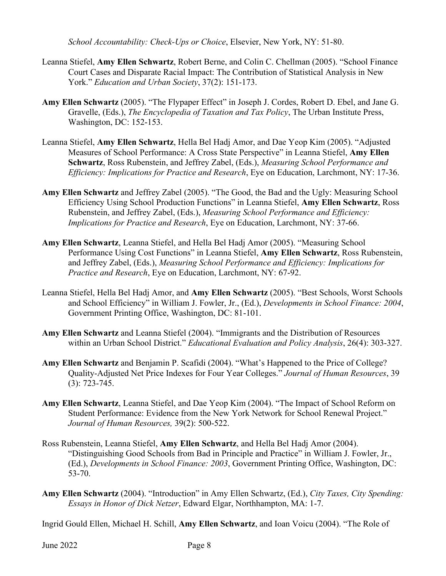*School Accountability: Check-Ups or Choice*, Elsevier, New York, NY: 51-80.

- Leanna Stiefel, **Amy Ellen Schwartz**, Robert Berne, and Colin C. Chellman (2005). "School Finance Court Cases and Disparate Racial Impact: The Contribution of Statistical Analysis in New York." *Education and Urban Society*, 37(2): 151-173.
- **Amy Ellen Schwartz** (2005). "The Flypaper Effect" in Joseph J. Cordes, Robert D. Ebel, and Jane G. Gravelle, (Eds.), *The Encyclopedia of Taxation and Tax Policy*, The Urban Institute Press, Washington, DC: 152-153.
- Leanna Stiefel, **Amy Ellen Schwartz**, Hella Bel Hadj Amor, and Dae Yeop Kim (2005). "Adjusted Measures of School Performance: A Cross State Perspective" in Leanna Stiefel, **Amy Ellen Schwartz**, Ross Rubenstein, and Jeffrey Zabel, (Eds.), *Measuring School Performance and Efficiency: Implications for Practice and Research*, Eye on Education, Larchmont, NY: 17-36.
- **Amy Ellen Schwartz** and Jeffrey Zabel (2005). "The Good, the Bad and the Ugly: Measuring School Efficiency Using School Production Functions" in Leanna Stiefel, **Amy Ellen Schwartz**, Ross Rubenstein, and Jeffrey Zabel, (Eds.), *Measuring School Performance and Efficiency: Implications for Practice and Research*, Eye on Education, Larchmont, NY: 37-66.
- **Amy Ellen Schwartz**, Leanna Stiefel, and Hella Bel Hadj Amor (2005). "Measuring School Performance Using Cost Functions" in Leanna Stiefel, **Amy Ellen Schwartz**, Ross Rubenstein, and Jeffrey Zabel, (Eds.), *Measuring School Performance and Efficiency: Implications for Practice and Research*, Eye on Education, Larchmont, NY: 67-92.
- Leanna Stiefel, Hella Bel Hadj Amor, and **Amy Ellen Schwartz** (2005). "Best Schools, Worst Schools and School Efficiency" in William J. Fowler, Jr., (Ed.), *Developments in School Finance: 2004*, Government Printing Office, Washington, DC: 81-101.
- **Amy Ellen Schwartz** and Leanna Stiefel (2004). "Immigrants and the Distribution of Resources within an Urban School District." *Educational Evaluation and Policy Analysis*, 26(4): 303-327.
- **Amy Ellen Schwartz** and Benjamin P. Scafidi (2004). "What's Happened to the Price of College? Quality-Adjusted Net Price Indexes for Four Year Colleges." *Journal of Human Resources*, 39 (3): 723-745.
- **Amy Ellen Schwartz**, Leanna Stiefel, and Dae Yeop Kim (2004). "The Impact of School Reform on Student Performance: Evidence from the New York Network for School Renewal Project." *Journal of Human Resources,* 39(2): 500-522.
- Ross Rubenstein, Leanna Stiefel, **Amy Ellen Schwartz**, and Hella Bel Hadj Amor (2004). "Distinguishing Good Schools from Bad in Principle and Practice" in William J. Fowler, Jr., (Ed.), *Developments in School Finance: 2003*, Government Printing Office, Washington, DC: 53-70.
- **Amy Ellen Schwartz** (2004). "Introduction" in Amy Ellen Schwartz, (Ed.), *City Taxes, City Spending: Essays in Honor of Dick Netzer*, Edward Elgar, Northhampton, MA: 1-7.

Ingrid Gould Ellen, Michael H. Schill, **Amy Ellen Schwartz**, and Ioan Voicu (2004). "The Role of

June 2022 Page 8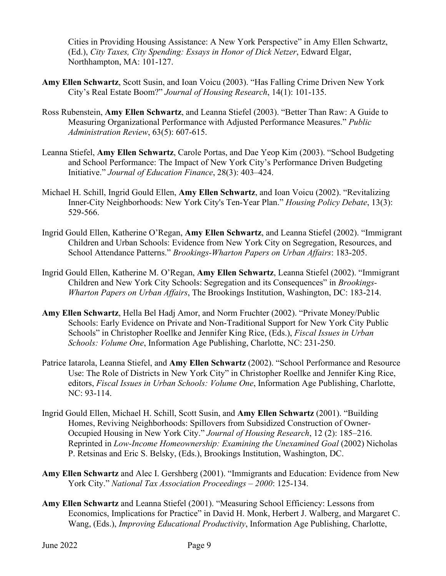Cities in Providing Housing Assistance: A New York Perspective" in Amy Ellen Schwartz, (Ed.), *City Taxes, City Spending: Essays in Honor of Dick Netzer*, Edward Elgar, Northhampton, MA: 101-127.

- **Amy Ellen Schwartz**, Scott Susin, and Ioan Voicu (2003). "Has Falling Crime Driven New York City's Real Estate Boom?" *Journal of Housing Research*, 14(1): 101-135.
- Ross Rubenstein, **Amy Ellen Schwartz**, and Leanna Stiefel (2003). "Better Than Raw: A Guide to Measuring Organizational Performance with Adjusted Performance Measures." *Public Administration Review*, 63(5): 607-615.
- Leanna Stiefel, **Amy Ellen Schwartz**, Carole Portas, and Dae Yeop Kim (2003). "School Budgeting and School Performance: The Impact of New York City's Performance Driven Budgeting Initiative." *Journal of Education Finance*, 28(3): 403–424.
- Michael H. Schill, Ingrid Gould Ellen, **Amy Ellen Schwartz**, and Ioan Voicu (2002). "Revitalizing Inner-City Neighborhoods: New York City's Ten-Year Plan." *Housing Policy Debate*, 13(3): 529-566.
- Ingrid Gould Ellen, Katherine O'Regan, **Amy Ellen Schwartz**, and Leanna Stiefel (2002). "Immigrant Children and Urban Schools: Evidence from New York City on Segregation, Resources, and School Attendance Patterns." *Brookings-Wharton Papers on Urban Affairs*: 183-205.
- Ingrid Gould Ellen, Katherine M. O'Regan, **Amy Ellen Schwartz**, Leanna Stiefel (2002). "Immigrant Children and New York City Schools: Segregation and its Consequences" in *Brookings-Wharton Papers on Urban Affairs*, The Brookings Institution, Washington, DC: 183-214.
- **Amy Ellen Schwartz**, Hella Bel Hadj Amor, and Norm Fruchter (2002). "Private Money/Public Schools: Early Evidence on Private and Non-Traditional Support for New York City Public Schools" in Christopher Roellke and Jennifer King Rice, (Eds.), *Fiscal Issues in Urban Schools: Volume One*, Information Age Publishing, Charlotte, NC: 231-250.
- Patrice Iatarola, Leanna Stiefel, and **Amy Ellen Schwartz** (2002). "School Performance and Resource Use: The Role of Districts in New York City" in Christopher Roellke and Jennifer King Rice, editors, *Fiscal Issues in Urban Schools: Volume One*, Information Age Publishing, Charlotte, NC: 93-114.
- Ingrid Gould Ellen, Michael H. Schill, Scott Susin, and **Amy Ellen Schwartz** (2001). "Building Homes, Reviving Neighborhoods: Spillovers from Subsidized Construction of Owner-Occupied Housing in New York City." *Journal of Housing Research*, 12 (2): 185–216. Reprinted in *Low-Income Homeownership: Examining the Unexamined Goal* (2002) Nicholas P. Retsinas and Eric S. Belsky, (Eds.), Brookings Institution, Washington, DC.
- **Amy Ellen Schwartz** and Alec I. Gershberg (2001). "Immigrants and Education: Evidence from New York City." *National Tax Association Proceedings – 2000*: 125-134.
- **Amy Ellen Schwartz** and Leanna Stiefel (2001). "Measuring School Efficiency: Lessons from Economics, Implications for Practice" in David H. Monk, Herbert J. Walberg, and Margaret C. Wang, (Eds.), *Improving Educational Productivity*, Information Age Publishing, Charlotte,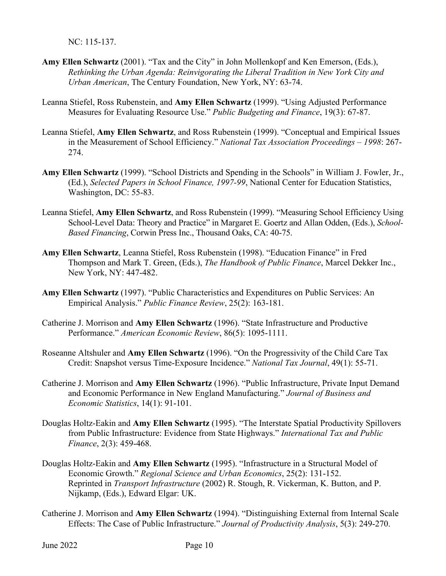NC: 115-137.

- **Amy Ellen Schwartz** (2001). "Tax and the City" in John Mollenkopf and Ken Emerson, (Eds.), *Rethinking the Urban Agenda: Reinvigorating the Liberal Tradition in New York City and Urban American*, The Century Foundation, New York, NY: 63-74.
- Leanna Stiefel, Ross Rubenstein, and **Amy Ellen Schwartz** (1999). "Using Adjusted Performance Measures for Evaluating Resource Use." *Public Budgeting and Finance*, 19(3): 67-87.
- Leanna Stiefel, **Amy Ellen Schwartz**, and Ross Rubenstein (1999). "Conceptual and Empirical Issues in the Measurement of School Efficiency." *National Tax Association Proceedings – 1998*: 267- 274.
- **Amy Ellen Schwartz** (1999). "School Districts and Spending in the Schools" in William J. Fowler, Jr., (Ed.), *Selected Papers in School Finance, 1997-99*, National Center for Education Statistics, Washington, DC: 55-83.
- Leanna Stiefel, **Amy Ellen Schwartz**, and Ross Rubenstein (1999). "Measuring School Efficiency Using School-Level Data: Theory and Practice" in Margaret E. Goertz and Allan Odden, (Eds.), *School-Based Financing*, Corwin Press Inc., Thousand Oaks, CA: 40-75.
- **Amy Ellen Schwartz**, Leanna Stiefel, Ross Rubenstein (1998). "Education Finance" in Fred Thompson and Mark T. Green, (Eds.), *The Handbook of Public Finance*, Marcel Dekker Inc., New York, NY: 447-482.
- **Amy Ellen Schwartz** (1997). "Public Characteristics and Expenditures on Public Services: An Empirical Analysis." *Public Finance Review*, 25(2): 163-181.
- Catherine J. Morrison and **Amy Ellen Schwartz** (1996). "State Infrastructure and Productive Performance." *American Economic Review*, 86(5): 1095-1111.
- Roseanne Altshuler and **Amy Ellen Schwartz** (1996). "On the Progressivity of the Child Care Tax Credit: Snapshot versus Time-Exposure Incidence." *National Tax Journal*, 49(1): 55-71.
- Catherine J. Morrison and **Amy Ellen Schwartz** (1996). "Public Infrastructure, Private Input Demand and Economic Performance in New England Manufacturing." *Journal of Business and Economic Statistics*, 14(1): 91-101.
- Douglas Holtz-Eakin and **Amy Ellen Schwartz** (1995). "The Interstate Spatial Productivity Spillovers from Public Infrastructure: Evidence from State Highways." *International Tax and Public Finance*, 2(3): 459-468.
- Douglas Holtz-Eakin and **Amy Ellen Schwartz** (1995). "Infrastructure in a Structural Model of Economic Growth." *Regional Science and Urban Economics*, 25(2): 131-152. Reprinted in *Transport Infrastructure* (2002) R. Stough, R. Vickerman, K. Button, and P. Nijkamp, (Eds.), Edward Elgar: UK.
- Catherine J. Morrison and **Amy Ellen Schwartz** (1994). "Distinguishing External from Internal Scale Effects: The Case of Public Infrastructure." *Journal of Productivity Analysis*, 5(3): 249-270.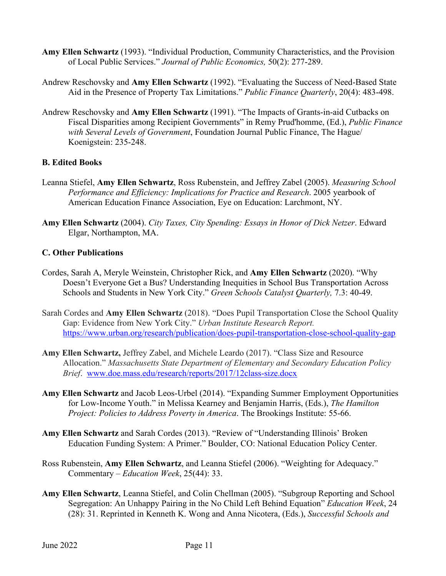- **Amy Ellen Schwartz** (1993). "Individual Production, Community Characteristics, and the Provision of Local Public Services." *Journal of Public Economics,* 50(2): 277-289.
- Andrew Reschovsky and **Amy Ellen Schwartz** (1992). "Evaluating the Success of Need-Based State Aid in the Presence of Property Tax Limitations." *Public Finance Quarterly*, 20(4): 483-498.
- Andrew Reschovsky and **Amy Ellen Schwartz** (1991). "The Impacts of Grants-in-aid Cutbacks on Fiscal Disparities among Recipient Governments" in Remy Prud'homme, (Ed.), *Public Finance with Several Levels of Government*, Foundation Journal Public Finance, The Hague/ Koenigstein: 235-248.

## **B. Edited Books**

- Leanna Stiefel, **Amy Ellen Schwartz**, Ross Rubenstein, and Jeffrey Zabel (2005). *Measuring School Performance and Efficiency: Implications for Practice and Research*. 2005 yearbook of American Education Finance Association, Eye on Education: Larchmont, NY.
- **Amy Ellen Schwartz** (2004). *City Taxes, City Spending: Essays in Honor of Dick Netzer*. Edward Elgar, Northampton, MA.

## **C. Other Publications**

- Cordes, Sarah A, Meryle Weinstein, Christopher Rick, and **Amy Ellen Schwartz** (2020). "Why Doesn't Everyone Get a Bus? Understanding Inequities in School Bus Transportation Across Schools and Students in New York City." *Green Schools Catalyst Quarterly,* 7.3: 40-49.
- Sarah Cordes and **Amy Ellen Schwartz** (2018). "Does Pupil Transportation Close the School Quality Gap: Evidence from New York City." *Urban Institute Research Report.*  <https://www.urban.org/research/publication/does-pupil-transportation-close-school-quality-gap>
- **Amy Ellen Schwartz,** Jeffrey Zabel, and Michele Leardo (2017). "Class Size and Resource Allocation." *Massachusetts State Department of Elementary and Secondary Education Policy Brief*. [www.doe.mass.edu/research/reports/2017/12class-size.docx](http://www.doe.mass.edu/research/reports/2017/12class-size.docx)
- **Amy Ellen Schwartz** and Jacob Leos-Urbel (2014). "Expanding Summer Employment Opportunities for Low-Income Youth." in Melissa Kearney and Benjamin Harris, (Eds.), *The Hamilton Project: Policies to Address Poverty in America*. The Brookings Institute: 55-66.
- **Amy Ellen Schwartz** and Sarah Cordes (2013). "Review of "Understanding Illinois' Broken Education Funding System: A Primer." Boulder, CO: National Education Policy Center.
- Ross Rubenstein, **Amy Ellen Schwartz**, and Leanna Stiefel (2006). "Weighting for Adequacy." Commentary – *Education Week*, 25(44): 33.
- **Amy Ellen Schwartz**, Leanna Stiefel, and Colin Chellman (2005). "Subgroup Reporting and School Segregation: An Unhappy Pairing in the No Child Left Behind Equation" *Education Week*, 24 (28): 31. Reprinted in Kenneth K. Wong and Anna Nicotera, (Eds.), *Successful Schools and*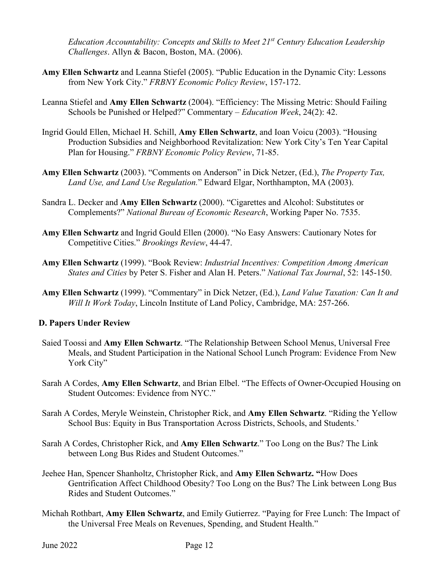*Education Accountability: Concepts and Skills to Meet 21st Century Education Leadership Challenges*. Allyn & Bacon, Boston, MA. (2006).

- **Amy Ellen Schwartz** and Leanna Stiefel (2005). "Public Education in the Dynamic City: Lessons from New York City." *FRBNY Economic Policy Review*, 157-172.
- Leanna Stiefel and **Amy Ellen Schwartz** (2004). "Efficiency: The Missing Metric: Should Failing Schools be Punished or Helped?" Commentary – *Education Week*, 24(2): 42.
- Ingrid Gould Ellen, Michael H. Schill, **Amy Ellen Schwartz**, and Ioan Voicu (2003). "Housing Production Subsidies and Neighborhood Revitalization: New York City's Ten Year Capital Plan for Housing." *FRBNY Economic Policy Review*, 71-85.
- **Amy Ellen Schwartz** (2003). "Comments on Anderson" in Dick Netzer, (Ed.), *The Property Tax, Land Use, and Land Use Regulation.*" Edward Elgar, Northhampton, MA (2003).
- Sandra L. Decker and **Amy Ellen Schwartz** (2000). "Cigarettes and Alcohol: Substitutes or Complements?" *National Bureau of Economic Research*, Working Paper No. 7535.
- **Amy Ellen Schwartz** and Ingrid Gould Ellen (2000). "No Easy Answers: Cautionary Notes for Competitive Cities." *Brookings Review*, 44-47.
- **Amy Ellen Schwartz** (1999). "Book Review: *Industrial Incentives: Competition Among American States and Cities* by Peter S. Fisher and Alan H. Peters." *National Tax Journal*, 52: 145-150.
- **Amy Ellen Schwartz** (1999). "Commentary" in Dick Netzer, (Ed.), *Land Value Taxation: Can It and Will It Work Today*, Lincoln Institute of Land Policy, Cambridge, MA: 257-266.

#### **D. Papers Under Review**

- Saied Toossi and **Amy Ellen Schwartz**. "The Relationship Between School Menus, Universal Free Meals, and Student Participation in the National School Lunch Program: Evidence From New York City"
- Sarah A Cordes, **Amy Ellen Schwartz**, and Brian Elbel. "The Effects of Owner-Occupied Housing on Student Outcomes: Evidence from NYC."
- Sarah A Cordes, Meryle Weinstein, Christopher Rick, and **Amy Ellen Schwartz**. "Riding the Yellow School Bus: Equity in Bus Transportation Across Districts, Schools, and Students.'
- Sarah A Cordes, Christopher Rick, and **Amy Ellen Schwartz**." Too Long on the Bus? The Link between Long Bus Rides and Student Outcomes."
- Jeehee Han, Spencer Shanholtz, Christopher Rick, and **Amy Ellen Schwartz. "**How Does Gentrification Affect Childhood Obesity? Too Long on the Bus? The Link between Long Bus Rides and Student Outcomes."
- Michah Rothbart, **Amy Ellen Schwartz**, and Emily Gutierrez. "Paying for Free Lunch: The Impact of the Universal Free Meals on Revenues, Spending, and Student Health."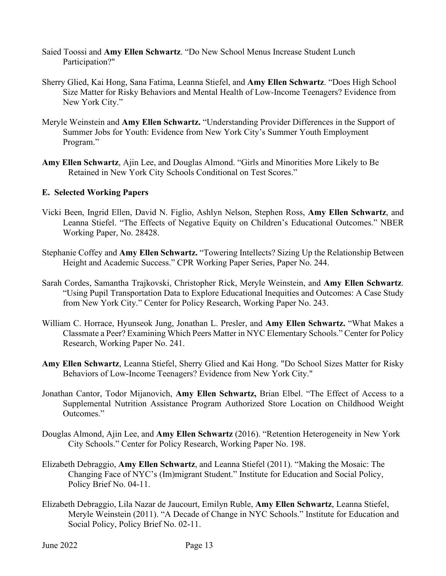- Saied Toossi and **Amy Ellen Schwartz**. "Do New School Menus Increase Student Lunch Participation?"
- Sherry Glied, Kai Hong, Sana Fatima, Leanna Stiefel, and **Amy Ellen Schwartz**. "Does High School Size Matter for Risky Behaviors and Mental Health of Low-Income Teenagers? Evidence from New York City."
- Meryle Weinstein and **Amy Ellen Schwartz.** "Understanding Provider Differences in the Support of Summer Jobs for Youth: Evidence from New York City's Summer Youth Employment Program."
- **Amy Ellen Schwartz**, Ajin Lee, and Douglas Almond. "Girls and Minorities More Likely to Be Retained in New York City Schools Conditional on Test Scores."

#### **E. Selected Working Papers**

- Vicki Been, Ingrid Ellen, David N. Figlio, Ashlyn Nelson, Stephen Ross, **Amy Ellen Schwartz**, and Leanna Stiefel. "The Effects of Negative Equity on Children's Educational Outcomes." NBER Working Paper, No. 28428.
- Stephanie Coffey and **Amy Ellen Schwartz.** "Towering Intellects? Sizing Up the Relationship Between Height and Academic Success." CPR Working Paper Series, Paper No. 244.
- Sarah Cordes, Samantha Trajkovski, Christopher Rick, Meryle Weinstein, and **Amy Ellen Schwartz**. "Using Pupil Transportation Data to Explore Educational Inequities and Outcomes: A Case Study from New York City." Center for Policy Research, Working Paper No. 243.
- William C. Horrace, Hyunseok Jung, Jonathan L. Presler, and **Amy Ellen Schwartz.** "What Makes a Classmate a Peer? Examining Which Peers Matter in NYC Elementary Schools." Center for Policy Research, Working Paper No. 241.
- **Amy Ellen Schwartz**, Leanna Stiefel, Sherry Glied and Kai Hong. "Do School Sizes Matter for Risky Behaviors of Low-Income Teenagers? Evidence from New York City."
- Jonathan Cantor, Todor Mijanovich, **Amy Ellen Schwartz,** Brian Elbel. "The Effect of Access to a Supplemental Nutrition Assistance Program Authorized Store Location on Childhood Weight Outcomes."
- Douglas Almond, Ajin Lee, and **Amy Ellen Schwartz** (2016). "Retention Heterogeneity in New York City Schools." Center for Policy Research, Working Paper No. 198.
- Elizabeth Debraggio, **Amy Ellen Schwartz**, and Leanna Stiefel (2011). "Making the Mosaic: The Changing Face of NYC's (Im)migrant Student." Institute for Education and Social Policy, Policy Brief No. 04-11.
- Elizabeth Debraggio, Lila Nazar de Jaucourt, Emilyn Ruble, **Amy Ellen Schwartz**, Leanna Stiefel, Meryle Weinstein (2011). "A Decade of Change in NYC Schools." Institute for Education and Social Policy, Policy Brief No. 02-11.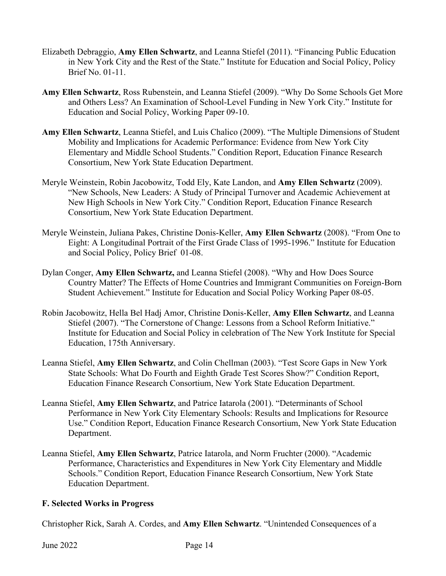- Elizabeth Debraggio, **Amy Ellen Schwartz**, and Leanna Stiefel (2011). "Financing Public Education in New York City and the Rest of the State." Institute for Education and Social Policy, Policy Brief No. 01-11.
- **Amy Ellen Schwartz**, Ross Rubenstein, and Leanna Stiefel (2009). "Why Do Some Schools Get More and Others Less? An Examination of School-Level Funding in New York City." Institute for Education and Social Policy, Working Paper 09-10.
- **Amy Ellen Schwartz**, Leanna Stiefel, and Luis Chalico (2009). "The Multiple Dimensions of Student Mobility and Implications for Academic Performance: Evidence from New York City Elementary and Middle School Students." Condition Report, Education Finance Research Consortium, New York State Education Department.
- Meryle Weinstein, Robin Jacobowitz, Todd Ely, Kate Landon, and **Amy Ellen Schwartz** (2009). "New Schools, New Leaders: A Study of Principal Turnover and Academic Achievement at New High Schools in New York City." Condition Report, Education Finance Research Consortium, New York State Education Department.
- Meryle Weinstein, Juliana Pakes, Christine Donis-Keller, **Amy Ellen Schwartz** (2008). "From One to Eight: A Longitudinal Portrait of the First Grade Class of 1995-1996." Institute for Education and Social Policy, Policy Brief 01-08.
- Dylan Conger, **Amy Ellen Schwartz,** and Leanna Stiefel (2008). "Why and How Does Source Country Matter? The Effects of Home Countries and Immigrant Communities on Foreign-Born Student Achievement." Institute for Education and Social Policy Working Paper 08-05.
- Robin Jacobowitz, Hella Bel Hadj Amor, Christine Donis-Keller, **Amy Ellen Schwartz**, and Leanna Stiefel (2007). "The Cornerstone of Change: Lessons from a School Reform Initiative." Institute for Education and Social Policy in celebration of The New York Institute for Special Education, 175th Anniversary.
- Leanna Stiefel, **Amy Ellen Schwartz**, and Colin Chellman (2003). "Test Score Gaps in New York State Schools: What Do Fourth and Eighth Grade Test Scores Show?" Condition Report, Education Finance Research Consortium, New York State Education Department.
- Leanna Stiefel, **Amy Ellen Schwartz**, and Patrice Iatarola (2001). "Determinants of School Performance in New York City Elementary Schools: Results and Implications for Resource Use." Condition Report, Education Finance Research Consortium, New York State Education Department.
- Leanna Stiefel, **Amy Ellen Schwartz**, Patrice Iatarola, and Norm Fruchter (2000). "Academic Performance, Characteristics and Expenditures in New York City Elementary and Middle Schools." Condition Report, Education Finance Research Consortium, New York State Education Department.

## **F. Selected Works in Progress**

Christopher Rick, Sarah A. Cordes, and **Amy Ellen Schwartz**. "Unintended Consequences of a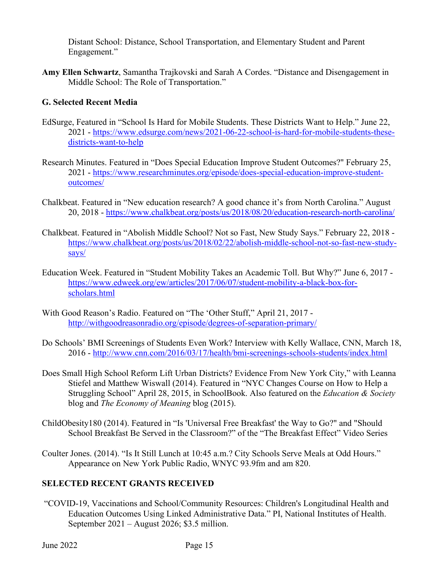Distant School: Distance, School Transportation, and Elementary Student and Parent Engagement."

**Amy Ellen Schwartz**, Samantha Trajkovski and Sarah A Cordes. "Distance and Disengagement in Middle School: The Role of Transportation."

## **G. Selected Recent Media**

- EdSurge, Featured in "School Is Hard for Mobile Students. These Districts Want to Help." June 22, 2021 - [https://www.edsurge.com/news/2021-06-22-school-is-hard-for-mobile-students-these](https://www.edsurge.com/news/2021-06-22-school-is-hard-for-mobile-students-these-districts-want-to-help)[districts-want-to-help](https://www.edsurge.com/news/2021-06-22-school-is-hard-for-mobile-students-these-districts-want-to-help)
- Research Minutes. Featured in "Does Special Education Improve Student Outcomes?" February 25, 2021 - [https://www.researchminutes.org/episode/does-special-education-improve-student](https://www.researchminutes.org/episode/does-special-education-improve-student-outcomes/)[outcomes/](https://www.researchminutes.org/episode/does-special-education-improve-student-outcomes/)
- Chalkbeat. Featured in "New education research? A good chance it's from North Carolina." August 20, 2018 -<https://www.chalkbeat.org/posts/us/2018/08/20/education-research-north-carolina/>
- Chalkbeat. Featured in "Abolish Middle School? Not so Fast, New Study Says." February 22, 2018 [https://www.chalkbeat.org/posts/us/2018/02/22/abolish-middle-school-not-so-fast-new-study](https://www.chalkbeat.org/posts/us/2018/02/22/abolish-middle-school-not-so-fast-new-study-says/)[says/](https://www.chalkbeat.org/posts/us/2018/02/22/abolish-middle-school-not-so-fast-new-study-says/)
- Education Week. Featured in "Student Mobility Takes an Academic Toll. But Why?" June 6, 2017 [https://www.edweek.org/ew/articles/2017/06/07/student-mobility-a-black-box-for](https://www.edweek.org/ew/articles/2017/06/07/student-mobility-a-black-box-for-scholars.html)[scholars.html](https://www.edweek.org/ew/articles/2017/06/07/student-mobility-a-black-box-for-scholars.html)
- With Good Reason's Radio. Featured on "The 'Other Stuff," April 21, 2017 <http://withgoodreasonradio.org/episode/degrees-of-separation-primary/>
- Do Schools' BMI Screenings of Students Even Work? Interview with Kelly Wallace, CNN, March 18, 2016 -<http://www.cnn.com/2016/03/17/health/bmi-screenings-schools-students/index.html>
- Does Small High School Reform Lift Urban Districts? Evidence From New York City," with Leanna Stiefel and Matthew Wiswall (2014). Featured in "NYC Changes Course on How to Help a Struggling School" April 28, 2015, in SchoolBook. Also featured on the *Education & Society* blog and *The Economy of Meaning* blog (2015).
- ChildObesity180 (2014). Featured in "Is 'Universal Free Breakfast' the Way to Go?" and "Should School Breakfast Be Served in the Classroom?" of the "The Breakfast Effect" Video Series
- Coulter Jones. (2014). "Is It Still Lunch at 10:45 a.m.? City Schools Serve Meals at Odd Hours." Appearance on New York Public Radio, WNYC 93.9fm and am 820.

## **SELECTED RECENT GRANTS RECEIVED**

"COVID-19, Vaccinations and School/Community Resources: Children's Longitudinal Health and Education Outcomes Using Linked Administrative Data." PI, National Institutes of Health. September 2021 – August 2026; \$3.5 million.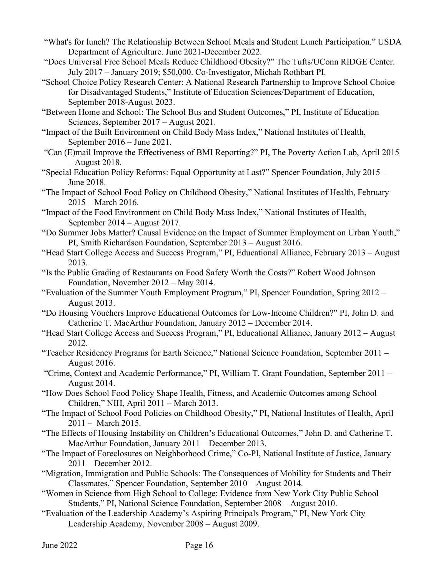- "What's for lunch? The Relationship Between School Meals and Student Lunch Participation." USDA Department of Agriculture. June 2021-December 2022.
- "Does Universal Free School Meals Reduce Childhood Obesity?" The Tufts/UConn RIDGE Center. July 2017 – January 2019; \$50,000. Co-Investigator, Michah Rothbart PI.
- "School Choice Policy Research Center: A National Research Partnership to Improve School Choice for Disadvantaged Students," Institute of Education Sciences/Department of Education, September 2018-August 2023.
- "Between Home and School: The School Bus and Student Outcomes," PI, Institute of Education Sciences, September 2017 – August 2021.
- "Impact of the Built Environment on Child Body Mass Index," National Institutes of Health, September 2016 – June 2021.
- "Can (E)mail Improve the Effectiveness of BMI Reporting?" PI, The Poverty Action Lab, April 2015 – August 2018.
- "Special Education Policy Reforms: Equal Opportunity at Last?" Spencer Foundation, July 2015 June 2018.
- "The Impact of School Food Policy on Childhood Obesity," National Institutes of Health, February 2015 – March 2016.
- "Impact of the Food Environment on Child Body Mass Index," National Institutes of Health, September 2014 – August 2017.
- "Do Summer Jobs Matter? Causal Evidence on the Impact of Summer Employment on Urban Youth," PI, Smith Richardson Foundation, September 2013 – August 2016.
- "Head Start College Access and Success Program," PI, Educational Alliance, February 2013 August 2013.
- "Is the Public Grading of Restaurants on Food Safety Worth the Costs?" Robert Wood Johnson Foundation, November 2012 – May 2014.
- "Evaluation of the Summer Youth Employment Program," PI, Spencer Foundation, Spring 2012 August 2013.
- "Do Housing Vouchers Improve Educational Outcomes for Low-Income Children?" PI, John D. and Catherine T. MacArthur Foundation, January 2012 – December 2014.
- "Head Start College Access and Success Program," PI, Educational Alliance, January 2012 August 2012.
- "Teacher Residency Programs for Earth Science," National Science Foundation, September 2011 August 2016.
- "Crime, Context and Academic Performance," PI, William T. Grant Foundation, September 2011 August 2014.
- "How Does School Food Policy Shape Health, Fitness, and Academic Outcomes among School Children," NIH, April 2011 – March 2013.
- "The Impact of School Food Policies on Childhood Obesity," PI, National Institutes of Health, April 2011 – March 2015.
- "The Effects of Housing Instability on Children's Educational Outcomes," John D. and Catherine T. MacArthur Foundation, January 2011 – December 2013.
- "The Impact of Foreclosures on Neighborhood Crime," Co-PI, National Institute of Justice, January 2011 – December 2012.
- "Migration, Immigration and Public Schools: The Consequences of Mobility for Students and Their Classmates," Spencer Foundation, September 2010 – August 2014.
- "Women in Science from High School to College: Evidence from New York City Public School Students," PI, National Science Foundation, September 2008 – August 2010.
- "Evaluation of the Leadership Academy's Aspiring Principals Program," PI, New York City Leadership Academy, November 2008 – August 2009.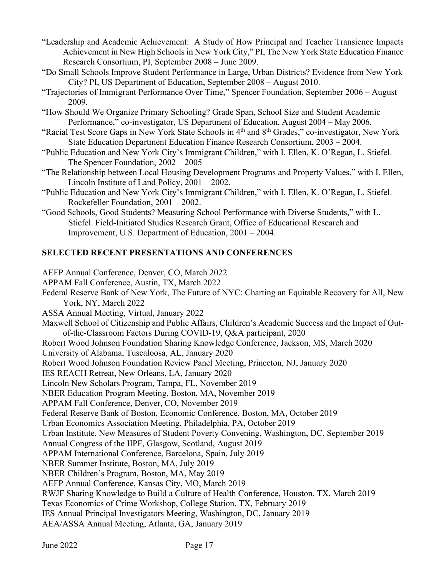- "Leadership and Academic Achievement: A Study of How Principal and Teacher Transience Impacts Achievement in New High Schools in New York City," PI, The New York State Education Finance Research Consortium, PI, September 2008 – June 2009.
- "Do Small Schools Improve Student Performance in Large, Urban Districts? Evidence from New York City? PI, US Department of Education, September 2008 – August 2010.
- "Trajectories of Immigrant Performance Over Time," Spencer Foundation, September 2006 August 2009.
- "How Should We Organize Primary Schooling? Grade Span, School Size and Student Academic Performance," co-investigator, US Department of Education, August 2004 – May 2006.
- "Racial Test Score Gaps in New York State Schools in 4<sup>th</sup> and 8<sup>th</sup> Grades," co-investigator, New York State Education Department Education Finance Research Consortium, 2003 – 2004.
- "Public Education and New York City's Immigrant Children," with I. Ellen, K. O'Regan, L. Stiefel. The Spencer Foundation, 2002 – 2005
- "The Relationship between Local Housing Development Programs and Property Values," with I. Ellen, Lincoln Institute of Land Policy, 2001 – 2002.
- "Public Education and New York City's Immigrant Children," with I. Ellen, K. O'Regan, L. Stiefel. Rockefeller Foundation, 2001 – 2002.
- "Good Schools, Good Students? Measuring School Performance with Diverse Students," with L. Stiefel. Field-Initiated Studies Research Grant, Office of Educational Research and Improvement, U.S. Department of Education, 2001 – 2004.

# **SELECTED RECENT PRESENTATIONS AND CONFERENCES**

AEFP Annual Conference, Denver, CO, March 2022 APPAM Fall Conference, Austin, TX, March 2022 Federal Reserve Bank of New York, The Future of NYC: Charting an Equitable Recovery for All, New York, NY, March 2022 ASSA Annual Meeting, Virtual, January 2022 Maxwell School of Citizenship and Public Affairs, Children's Academic Success and the Impact of Outof-the-Classroom Factors During COVID-19, Q&A participant, 2020 Robert Wood Johnson Foundation Sharing Knowledge Conference, Jackson, MS, March 2020 University of Alabama, Tuscaloosa, AL, January 2020 Robert Wood Johnson Foundation Review Panel Meeting, Princeton, NJ, January 2020 IES REACH Retreat, New Orleans, LA, January 2020 Lincoln New Scholars Program, Tampa, FL, November 2019 NBER Education Program Meeting, Boston, MA, November 2019 APPAM Fall Conference, Denver, CO, November 2019 Federal Reserve Bank of Boston, Economic Conference, Boston, MA, October 2019 Urban Economics Association Meeting, Philadelphia, PA, October 2019 Urban Institute, New Measures of Student Poverty Convening, Washington, DC, September 2019 Annual Congress of the IIPF, Glasgow, Scotland, August 2019 APPAM International Conference, Barcelona, Spain, July 2019 NBER Summer Institute, Boston, MA, July 2019 NBER Children's Program, Boston, MA, May 2019 AEFP Annual Conference, Kansas City, MO, March 2019 RWJF Sharing Knowledge to Build a Culture of Health Conference, Houston, TX, March 2019 Texas Economics of Crime Workshop, College Station, TX, February 2019 IES Annual Principal Investigators Meeting, Washington, DC, January 2019 AEA/ASSA Annual Meeting, Atlanta, GA, January 2019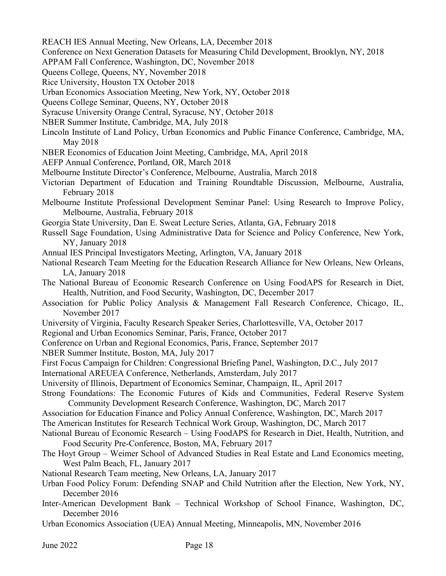- REACH IES Annual Meeting, New Orleans, LA, December 2018
- Conference on Next Generation Datasets for Measuring Child Development, Brooklyn, NY, 2018
- APPAM Fall Conference, Washington, DC, November 2018
- Queens College, Queens, NY, November 2018
- Rice University, Houston TX October 2018
- Urban Economics Association Meeting, New York, NY, October 2018
- Queens College Seminar, Queens, NY, October 2018
- Syracuse University Orange Central, Syracuse, NY, October 2018
- NBER Summer Institute, Cambridge, MA, July 2018
- Lincoln Institute of Land Policy, Urban Economics and Public Finance Conference, Cambridge, MA, May 2018
- NBER Economics of Education Joint Meeting, Cambridge, MA, April 2018
- AEFP Annual Conference, Portland, OR, March 2018
- Melbourne Institute Director's Conference, Melbourne, Australia, March 2018
- Victorian Department of Education and Training Roundtable Discussion, Melbourne, Australia, February 2018
- Melbourne Institute Professional Development Seminar Panel: Using Research to Improve Policy, Melbourne, Australia, February 2018
- Georgia State University, Dan E. Sweat Lecture Series, Atlanta, GA, February 2018
- Russell Sage Foundation, Using Administrative Data for Science and Policy Conference, New York, NY, January 2018
- Annual IES Principal Investigators Meeting, Arlington, VA, January 2018
- National Research Team Meeting for the Education Research Alliance for New Orleans, New Orleans, LA, January 2018
- The National Bureau of Economic Research Conference on Using FoodAPS for Research in Diet, Health, Nutrition, and Food Security, Washington, DC, December 2017
- Association for Public Policy Analysis & Management Fall Research Conference, Chicago, IL, November 2017
- University of Virginia, Faculty Research Speaker Series, Charlottesville, VA, October 2017
- Regional and Urban Economics Seminar, Paris, France, October 2017
- Conference on Urban and Regional Economics, Paris, France, September 2017
- NBER Summer Institute, Boston, MA, July 2017
- First Focus Campaign for Children: Congressional Briefing Panel, Washington, D.C., July 2017
- International AREUEA Conference, Netherlands, Amsterdam, July 2017
- University of Illinois, Department of Economics Seminar, Champaign, IL, April 2017
- Strong Foundations: The Economic Futures of Kids and Communities, Federal Reserve System Community Development Research Conference, Washington, DC, March 2017
- Association for Education Finance and Policy Annual Conference, Washington, DC, March 2017
- The American Institutes for Research Technical Work Group, Washington, DC, March 2017
- National Bureau of Economic Research Using FoodAPS for Research in Diet, Health, Nutrition, and Food Security Pre-Conference, Boston, MA, February 2017
- The Hoyt Group Weimer School of Advanced Studies in Real Estate and Land Economics meeting, West Palm Beach, FL, January 2017
- National Research Team meeting, New Orleans, LA, January 2017
- Urban Food Policy Forum: Defending SNAP and Child Nutrition after the Election, New York, NY, December 2016
- Inter-American Development Bank Technical Workshop of School Finance, Washington, DC, December 2016
- Urban Economics Association (UEA) Annual Meeting, Minneapolis, MN, November 2016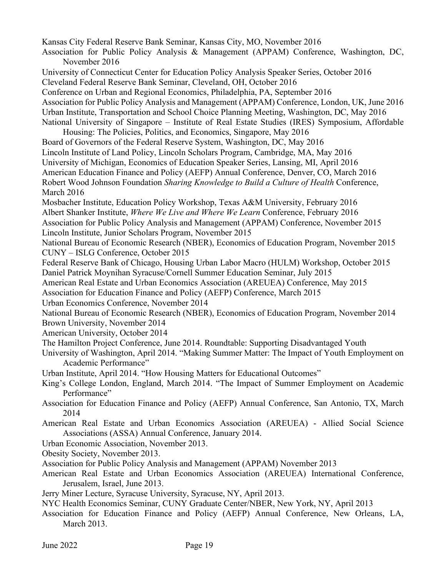Kansas City Federal Reserve Bank Seminar, Kansas City, MO, November 2016 Association for Public Policy Analysis & Management (APPAM) Conference, Washington, DC, November 2016 University of Connecticut Center for Education Policy Analysis Speaker Series, October 2016 Cleveland Federal Reserve Bank Seminar, Cleveland, OH, October 2016 Conference on Urban and Regional Economics, Philadelphia, PA, September 2016 Association for Public Policy Analysis and Management (APPAM) Conference, London, UK, June 2016 Urban Institute, Transportation and School Choice Planning Meeting, Washington, DC, May 2016 National University of Singapore – Institute of Real Estate Studies (IRES) Symposium, Affordable Housing: The Policies, Politics, and Economics, Singapore, May 2016 Board of Governors of the Federal Reserve System, Washington, DC, May 2016 Lincoln Institute of Land Policy, Lincoln Scholars Program, Cambridge, MA, May 2016 University of Michigan, Economics of Education Speaker Series, Lansing, MI, April 2016 American Education Finance and Policy (AEFP) Annual Conference, Denver, CO, March 2016 Robert Wood Johnson Foundation *Sharing Knowledge to Build a Culture of Health* Conference, March 2016 Mosbacher Institute, Education Policy Workshop, Texas A&M University, February 2016 Albert Shanker Institute, *Where We Live and Where We Learn* Conference, February 2016 Association for Public Policy Analysis and Management (APPAM) Conference, November 2015 Lincoln Institute, Junior Scholars Program, November 2015 National Bureau of Economic Research (NBER), Economics of Education Program, November 2015 CUNY – ISLG Conference, October 2015 Federal Reserve Bank of Chicago, Housing Urban Labor Macro (HULM) Workshop, October 2015 Daniel Patrick Moynihan Syracuse/Cornell Summer Education Seminar, July 2015 American Real Estate and Urban Economics Association (AREUEA) Conference, May 2015 Association for Education Finance and Policy (AEFP) Conference, March 2015 Urban Economics Conference, November 2014 National Bureau of Economic Research (NBER), Economics of Education Program, November 2014 Brown University, November 2014 American University, October 2014 The Hamilton Project Conference, June 2014. Roundtable: Supporting Disadvantaged Youth University of Washington, April 2014. "Making Summer Matter: The Impact of Youth Employment on Academic Performance" Urban Institute, April 2014. "How Housing Matters for Educational Outcomes" King's College London, England, March 2014. "The Impact of Summer Employment on Academic Performance" Association for Education Finance and Policy (AEFP) Annual Conference, San Antonio, TX, March 2014 American Real Estate and Urban Economics Association (AREUEA) - Allied Social Science Associations (ASSA) Annual Conference, January 2014. Urban Economic Association, November 2013. Obesity Society, November 2013. Association for Public Policy Analysis and Management (APPAM) November 2013 American Real Estate and Urban Economics Association (AREUEA) International Conference, Jerusalem, Israel, June 2013.

Jerry Miner Lecture, Syracuse University, Syracuse, NY, April 2013.

NYC Health Economics Seminar, CUNY Graduate Center/NBER, New York, NY, April 2013

Association for Education Finance and Policy (AEFP) Annual Conference, New Orleans, LA, March 2013.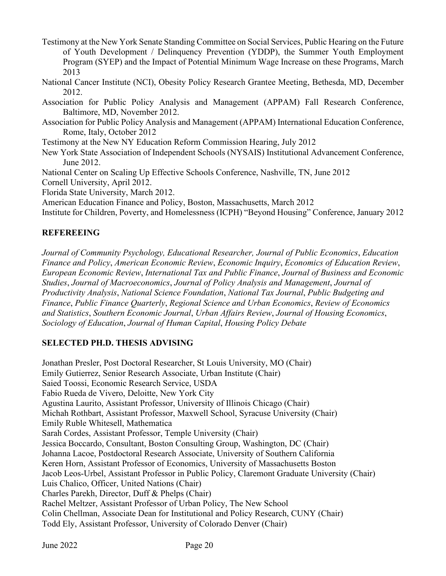Testimony at the New York Senate Standing Committee on Social Services, Public Hearing on the Future of Youth Development / Delinquency Prevention (YDDP), the Summer Youth Employment Program (SYEP) and the Impact of Potential Minimum Wage Increase on these Programs, March 2013

National Cancer Institute (NCI), Obesity Policy Research Grantee Meeting, Bethesda, MD, December 2012.

Association for Public Policy Analysis and Management (APPAM) Fall Research Conference, Baltimore, MD, November 2012.

Association for Public Policy Analysis and Management (APPAM) International Education Conference, Rome, Italy, October 2012

Testimony at the New NY Education Reform Commission Hearing, July 2012

New York State Association of Independent Schools (NYSAIS) Institutional Advancement Conference, June 2012.

National Center on Scaling Up Effective Schools Conference, Nashville, TN, June 2012

Cornell University, April 2012.

Florida State University, March 2012.

American Education Finance and Policy, Boston, Massachusetts, March 2012

Institute for Children, Poverty, and Homelessness (ICPH) "Beyond Housing" Conference, January 2012

## **REFEREEING**

*Journal of Community Psychology, Educational Researcher, Journal of Public Economics*, *Education Finance and Policy*, *American Economic Review*, *Economic Inquiry*, *Economics of Education Review*, *European Economic Review*, *International Tax and Public Finance*, *Journal of Business and Economic Studies*, *Journal of Macroeconomics*, *Journal of Policy Analysis and Management*, *Journal of Productivity Analysis*, *National Science Foundation*, *National Tax Journal*, *Public Budgeting and Finance*, *Public Finance Quarterly*, *Regional Science and Urban Economics*, *Review of Economics and Statistics*, *Southern Economic Journal*, *Urban Affairs Review*, *Journal of Housing Economics*, *Sociology of Education*, *Journal of Human Capital*, *Housing Policy Debate*

# **SELECTED PH.D. THESIS ADVISING**

Jonathan Presler, Post Doctoral Researcher, St Louis University, MO (Chair) Emily Gutierrez, Senior Research Associate, Urban Institute (Chair) Saied Toossi, Economic Research Service, USDA Fabio Rueda de Vivero, Deloitte, New York City Agustina Laurito, Assistant Professor, University of Illinois Chicago (Chair) Michah Rothbart, Assistant Professor, Maxwell School, Syracuse University (Chair) Emily Ruble Whitesell, Mathematica Sarah Cordes, Assistant Professor, Temple University (Chair) Jessica Boccardo, Consultant, Boston Consulting Group, Washington, DC (Chair) Johanna Lacoe, Postdoctoral Research Associate, University of Southern California Keren Horn, Assistant Professor of Economics, University of Massachusetts Boston Jacob Leos-Urbel, Assistant Professor in Public Policy, Claremont Graduate University (Chair) Luis Chalico, Officer, United Nations (Chair) Charles Parekh, Director, Duff & Phelps (Chair) Rachel Meltzer, Assistant Professor of Urban Policy, The New School Colin Chellman, Associate Dean for Institutional and Policy Research, CUNY (Chair) Todd Ely, Assistant Professor, University of Colorado Denver (Chair)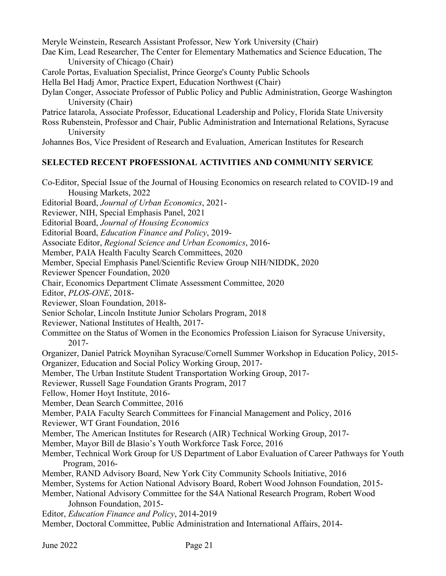Meryle Weinstein, Research Assistant Professor, New York University (Chair) Dae Kim, Lead Researcher, The Center for Elementary Mathematics and Science Education, The University of Chicago (Chair) Carole Portas, Evaluation Specialist, Prince George's County Public Schools

- Hella Bel Hadj Amor, Practice Expert, Education Northwest (Chair)
- Dylan Conger, Associate Professor of Public Policy and Public Administration, George Washington University (Chair)

Patrice Iatarola, Associate Professor, Educational Leadership and Policy, Florida State University

Ross Rubenstein, Professor and Chair, Public Administration and International Relations, Syracuse University

Johannes Bos, Vice President of Research and Evaluation, American Institutes for Research

# **SELECTED RECENT PROFESSIONAL ACTIVITIES AND COMMUNITY SERVICE**

Co-Editor, Special Issue of the Journal of Housing Economics on research related to COVID-19 and Housing Markets, 2022

Editorial Board, *Journal of Urban Economics*, 2021-

Reviewer, NIH, Special Emphasis Panel, 2021

Editorial Board, *Journal of Housing Economics* 

Editorial Board, *Education Finance and Policy*, 2019-

Associate Editor, *Regional Science and Urban Economics*, 2016-

Member, PAIA Health Faculty Search Committees, 2020

Member, Special Emphasis Panel/Scientific Review Group NIH/NIDDK, 2020

Reviewer Spencer Foundation, 2020

Chair, Economics Department Climate Assessment Committee, 2020

Editor, *PLOS-ONE*, 2018-

Reviewer, Sloan Foundation, 2018-

Senior Scholar, Lincoln Institute Junior Scholars Program, 2018

Reviewer, National Institutes of Health, 2017-

Committee on the Status of Women in the Economics Profession Liaison for Syracuse University, 2017-

Organizer, Daniel Patrick Moynihan Syracuse/Cornell Summer Workshop in Education Policy, 2015- Organizer, Education and Social Policy Working Group, 2017-

Member, The Urban Institute Student Transportation Working Group, 2017-

Reviewer, Russell Sage Foundation Grants Program, 2017

Fellow, Homer Hoyt Institute, 2016-

Member, Dean Search Committee, 2016

Member, PAIA Faculty Search Committees for Financial Management and Policy, 2016

Reviewer, WT Grant Foundation, 2016

Member, The American Institutes for Research (AIR) Technical Working Group, 2017-

Member, Mayor Bill de Blasio's Youth Workforce Task Force, 2016

Member, Technical Work Group for US Department of Labor Evaluation of Career Pathways for Youth Program, 2016-

Member, RAND Advisory Board, New York City Community Schools Initiative, 2016

Member, Systems for Action National Advisory Board, Robert Wood Johnson Foundation, 2015-

Member, National Advisory Committee for the S4A National Research Program, Robert Wood Johnson Foundation, 2015-

Editor, *Education Finance and Policy*, 2014-2019

Member, Doctoral Committee, Public Administration and International Affairs, 2014-